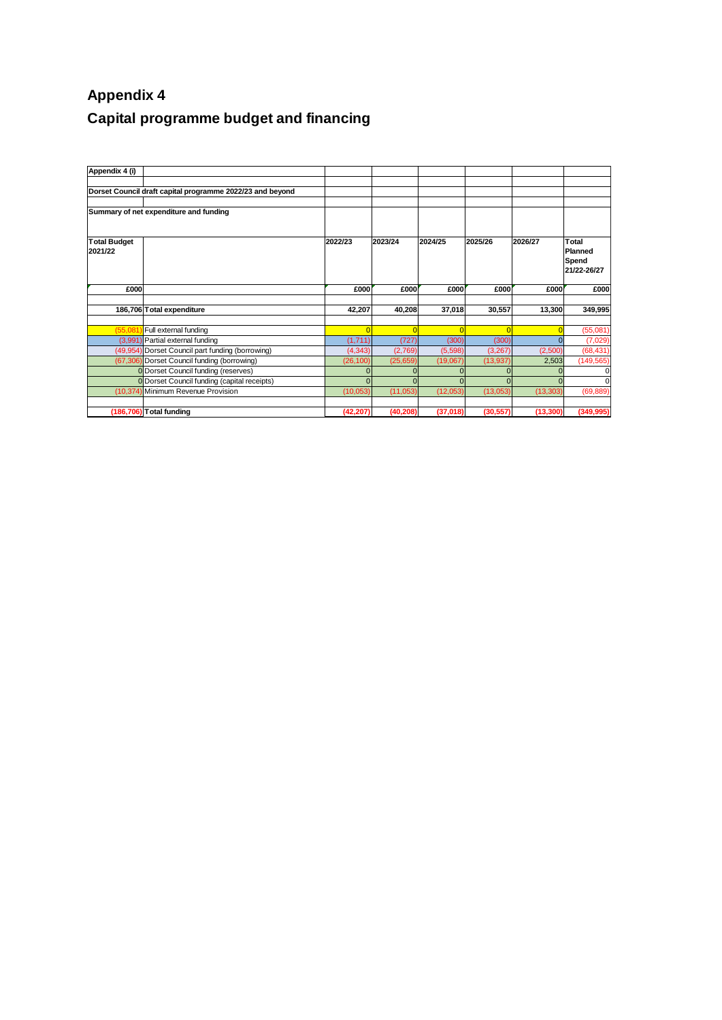## **Appendix 4 Capital programme budget and financing**

| Appendix 4 (i)                 |                                                           |           |           |          |           |           |                                          |
|--------------------------------|-----------------------------------------------------------|-----------|-----------|----------|-----------|-----------|------------------------------------------|
|                                | Dorset Council draft capital programme 2022/23 and beyond |           |           |          |           |           |                                          |
|                                | Summary of net expenditure and funding                    |           |           |          |           |           |                                          |
| <b>Total Budget</b><br>2021/22 |                                                           | 2022/23   | 2023/24   | 2024/25  | 2025/26   | 2026/27   | Total<br>Planned<br>Spend<br>21/22-26/27 |
| £000                           |                                                           | £000      | £000      | £000     | £000      | £000      | £000                                     |
|                                | 186,706 Total expenditure                                 | 42,207    | 40,208    | 37,018   | 30,557    | 13,300    | 349,995                                  |
| (55.08)                        | Full external funding                                     |           |           | $\Omega$ |           |           | (55,081)                                 |
|                                | (3,991) Partial external funding                          | (1,711)   | (727)     | (300)    | (300)     |           | (7,029)                                  |
|                                | (49,954) Dorset Council part funding (borrowing)          | (4, 343)  | (2,769)   | (5,598)  | (3,267)   | (2,500)   | (68, 431)                                |
|                                | (67,306) Dorset Council funding (borrowing)               | (26, 100) | (25, 659) | (19,067) | (13, 937) | 2,503     | (149, 565)                               |
|                                | <b>0</b> Dorset Council funding (reserves)                |           |           |          |           |           |                                          |
|                                | 0 Dorset Council funding (capital receipts)               | $\Omega$  | $\Omega$  |          |           |           | $\Omega$                                 |
|                                | (10,374) Minimum Revenue Provision                        | (10, 053) | (11,053)  | (12,053) | (13,053)  | (13, 303) | (69, 889)                                |
|                                | (186,706) Total funding                                   | (42, 207) | (40, 208) | (37,018) | (30, 557) | (13, 300) | (349, 995)                               |